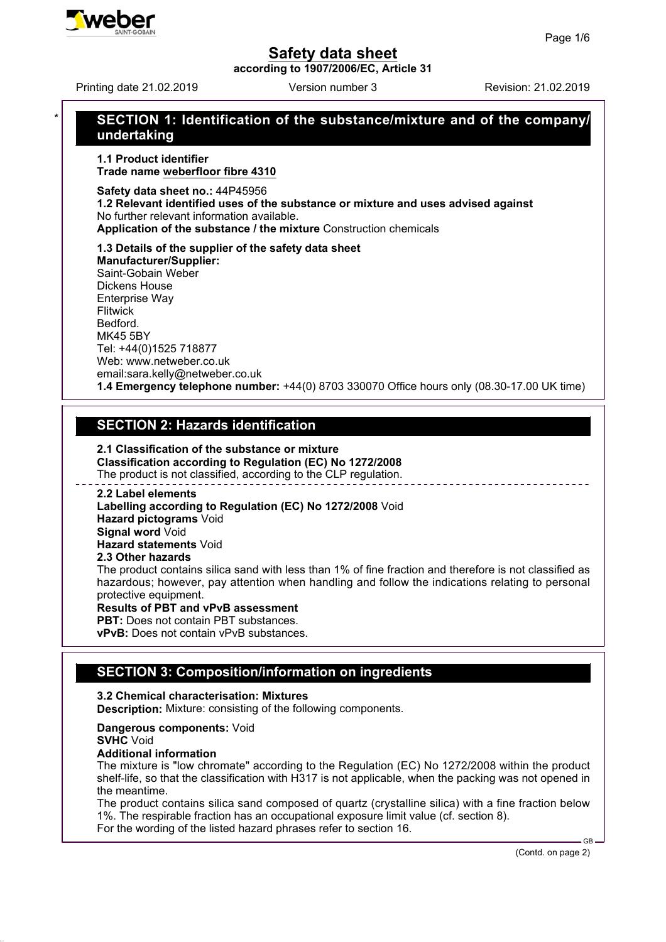**according to 1907/2006/EC, Article 31**

Printing date 21.02.2019 **Printing date 21.02.2019** Version number 3

# \* **SECTION 1: Identification of the substance/mixture and of the company/ undertaking**

**1.1 Product identifier Trade name weberfloor fibre 4310**

**Safety data sheet no.:** 44P45956

**1.2 Relevant identified uses of the substance or mixture and uses advised against** No further relevant information available.

**Application of the substance / the mixture** Construction chemicals

**1.3 Details of the supplier of the safety data sheet Manufacturer/Supplier:** Saint-Gobain Weber Dickens House Enterprise Way **Flitwick** Bedford. MK45 5BY Tel: +44(0)1525 718877 Web: www.netweber.co.uk email:sara.kelly@netweber.co.uk **1.4 Emergency telephone number:** +44(0) 8703 330070 Office hours only (08.30-17.00 UK time)

# **SECTION 2: Hazards identification**

**2.1 Classification of the substance or mixture Classification according to Regulation (EC) No 1272/2008** The product is not classified, according to the CLP regulation.

**2.2 Label elements Labelling according to Regulation (EC) No 1272/2008** Void **Hazard pictograms** Void **Signal word** Void **Hazard statements** Void **2.3 Other hazards** The product contains silica sand with less than 1% of fine fraction and therefore is not classified as hazardous; however, pay attention when handling and follow the indications relating to personal protective equipment. **Results of PBT and vPvB assessment PBT:** Does not contain PBT substances

**vPvB:** Does not contain vPvB substances.

# **SECTION 3: Composition/information on ingredients**

### **3.2 Chemical characterisation: Mixtures**

**Description:** Mixture: consisting of the following components.

**Dangerous components:** Void

### **SVHC** Void

### **Additional information**

The mixture is "low chromate" according to the Regulation (EC) No 1272/2008 within the product shelf-life, so that the classification with H317 is not applicable, when the packing was not opened in the meantime.

The product contains silica sand composed of quartz (crystalline silica) with a fine fraction below 1%. The respirable fraction has an occupational exposure limit value (cf. section 8). For the wording of the listed hazard phrases refer to section 16.

(Contd. on page 2)

GB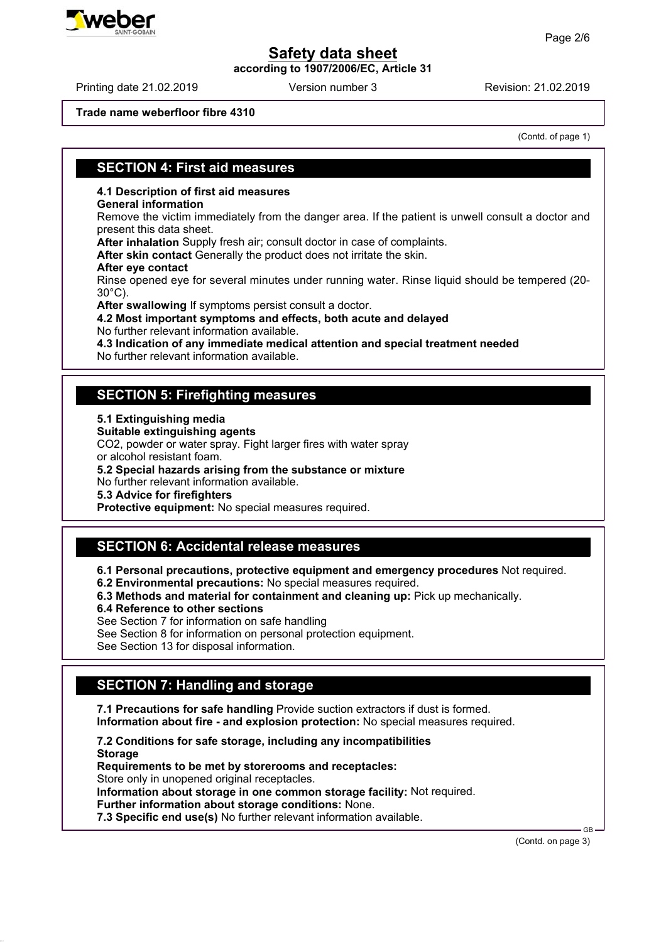**according to 1907/2006/EC, Article 31**

#### **Trade name weberfloor fibre 4310**

(Contd. of page 1)

## **SECTION 4: First aid measures**

### **4.1 Description of first aid measures**

#### **General information**

Remove the victim immediately from the danger area. If the patient is unwell consult a doctor and present this data sheet.

**After inhalation** Supply fresh air; consult doctor in case of complaints.

**After skin contact** Generally the product does not irritate the skin.

#### **After eye contact**

Rinse opened eye for several minutes under running water. Rinse liquid should be tempered (20- 30°C).

**After swallowing** If symptoms persist consult a doctor.

**4.2 Most important symptoms and effects, both acute and delayed** No further relevant information available.

**4.3 Indication of any immediate medical attention and special treatment needed**

No further relevant information available.

## **SECTION 5: Firefighting measures**

### **5.1 Extinguishing media**

**Suitable extinguishing agents**

CO2, powder or water spray. Fight larger fires with water spray or alcohol resistant foam.

**5.2 Special hazards arising from the substance or mixture**

No further relevant information available.

**5.3 Advice for firefighters**

**Protective equipment:** No special measures required.

# **SECTION 6: Accidental release measures**

**6.1 Personal precautions, protective equipment and emergency procedures** Not required.

- **6.2 Environmental precautions:** No special measures required.
- **6.3 Methods and material for containment and cleaning up:** Pick up mechanically.
- **6.4 Reference to other sections**

See Section 7 for information on safe handling

See Section 8 for information on personal protection equipment.

See Section 13 for disposal information.

# **SECTION 7: Handling and storage**

**7.1 Precautions for safe handling** Provide suction extractors if dust is formed. **Information about fire - and explosion protection:** No special measures required.

**7.2 Conditions for safe storage, including any incompatibilities Storage Requirements to be met by storerooms and receptacles:** Store only in unopened original receptacles. **Information about storage in one common storage facility:** Not required. **Further information about storage conditions:** None. **7.3 Specific end use(s)** No further relevant information available.

(Contd. on page 3)

GB



## Printing date 21.02.2019 **Printing date 21.02.2019** Version number 3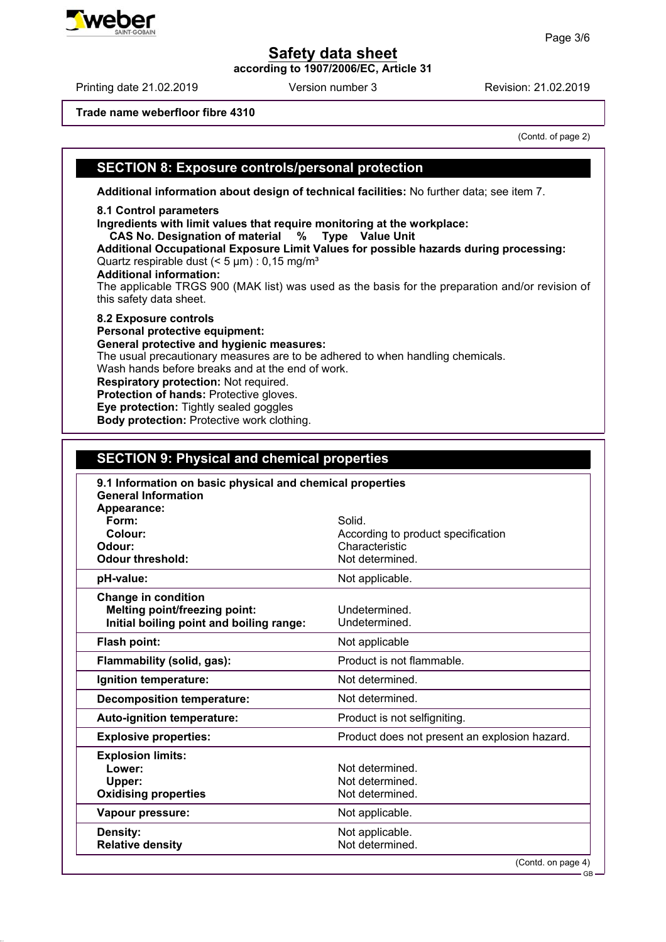**according to 1907/2006/EC, Article 31**

**Trade name weberfloor fibre 4310**

(Contd. of page 2)

## **SECTION 8: Exposure controls/personal protection**

**Additional information about design of technical facilities:** No further data; see item 7.

#### **8.1 Control parameters**

**Ingredients with limit values that require monitoring at the workplace:**

 **CAS No. Designation of material % Type Value Unit**

**Additional Occupational Exposure Limit Values for possible hazards during processing:** Quartz respirable dust  $(< 5 \mu m)$  : 0,15 mg/m<sup>3</sup>

### **Additional information:**

The applicable TRGS 900 (MAK list) was used as the basis for the preparation and/or revision of this safety data sheet.

**8.2 Exposure controls Personal protective equipment: General protective and hygienic measures:** The usual precautionary measures are to be adhered to when handling chemicals. Wash hands before breaks and at the end of work. **Respiratory protection:** Not required. **Protection of hands:** Protective gloves. **Eye protection:** Tightly sealed goggles **Body protection:** Protective work clothing.

## **SECTION 9: Physical and chemical properties**

| 9.1 Information on basic physical and chemical properties<br><b>General Information</b><br>Appearance:         |                                                       |
|----------------------------------------------------------------------------------------------------------------|-------------------------------------------------------|
| Form:                                                                                                          | Solid.                                                |
| Colour:                                                                                                        | According to product specification                    |
| Odour:                                                                                                         | Characteristic                                        |
| <b>Odour threshold:</b>                                                                                        | Not determined.                                       |
| pH-value:                                                                                                      | Not applicable.                                       |
| <b>Change in condition</b><br><b>Melting point/freezing point:</b><br>Initial boiling point and boiling range: | Undetermined.<br>Undetermined.                        |
| Flash point:                                                                                                   | Not applicable                                        |
| Flammability (solid, gas):                                                                                     | Product is not flammable.                             |
| Ignition temperature:                                                                                          | Not determined.                                       |
| <b>Decomposition temperature:</b>                                                                              | Not determined.                                       |
| <b>Auto-ignition temperature:</b>                                                                              | Product is not selfigniting.                          |
| <b>Explosive properties:</b>                                                                                   | Product does not present an explosion hazard.         |
| <b>Explosion limits:</b><br>Lower:<br>Upper:<br><b>Oxidising properties</b>                                    | Not determined.<br>Not determined.<br>Not determined. |
| Vapour pressure:                                                                                               | Not applicable.                                       |
| Density:<br><b>Relative density</b>                                                                            | Not applicable.<br>Not determined.                    |

(Contd. on page 4)



Printing date 21.02.2019 Version number 3 Revision: 21.02.2019

GB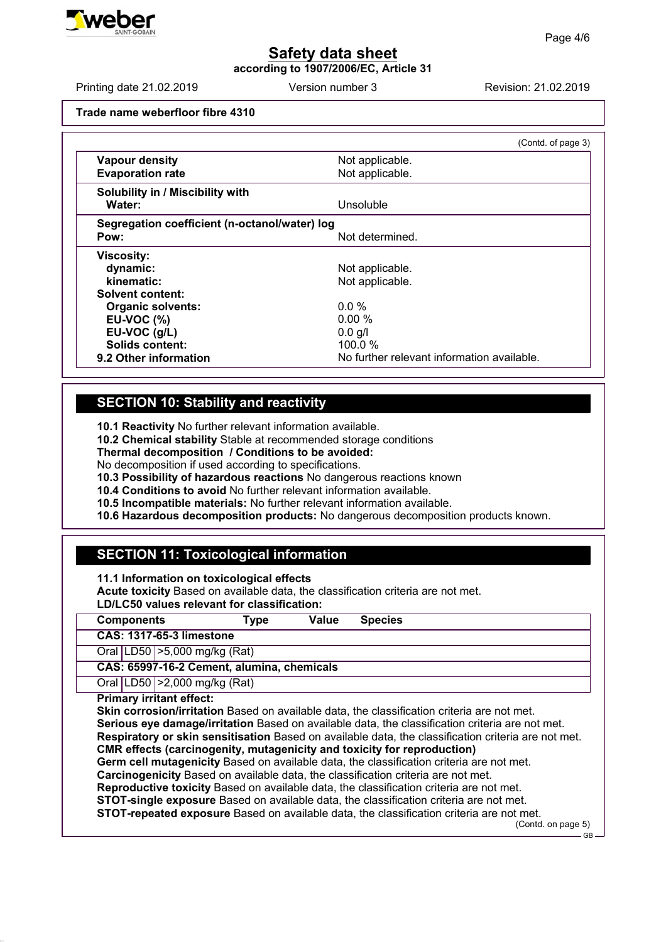**according to 1907/2006/EC, Article 31**

Printing date 21.02.2019 **Printing date 21.02.2019** Version number 3 Revision: 21.02.2019

**Trade name weberfloor fibre 4310**

|                                               | (Contd. of page 3)                         |
|-----------------------------------------------|--------------------------------------------|
| <b>Vapour density</b>                         | Not applicable.                            |
| <b>Evaporation rate</b>                       | Not applicable.                            |
| Solubility in / Miscibility with              |                                            |
| Water:                                        | Unsoluble                                  |
| Segregation coefficient (n-octanol/water) log |                                            |
| Pow:                                          | Not determined.                            |
| <b>Viscosity:</b>                             |                                            |
| dynamic:                                      | Not applicable.                            |
| kinematic:                                    | Not applicable.                            |
| Solvent content:                              |                                            |
| <b>Organic solvents:</b>                      | $0.0\%$                                    |
| <b>EU-VOC (%)</b>                             | 0.00 %                                     |
| EU-VOC (g/L)                                  | $0.0$ g/l                                  |
| Solids content:                               | 100.0 $%$                                  |
| 9.2 Other information                         | No further relevant information available. |

## **SECTION 10: Stability and reactivity**

**10.1 Reactivity** No further relevant information available.

**10.2 Chemical stability** Stable at recommended storage conditions

**Thermal decomposition / Conditions to be avoided:**

No decomposition if used according to specifications.

**10.3 Possibility of hazardous reactions** No dangerous reactions known

**10.4 Conditions to avoid** No further relevant information available.

**10.5 Incompatible materials:** No further relevant information available.

**10.6 Hazardous decomposition products:** No dangerous decomposition products known.

# **SECTION 11: Toxicological information**

**11.1 Information on toxicological effects**

**Acute toxicity** Based on available data, the classification criteria are not met.

**LD/LC50 values relevant for classification:**

| <b>Components</b> |                                            | Type | Value | <b>Species</b>                                                                                                                                                                                                                                                                                                                                                                                                                                                                                                                                                                                                                                                                                                                                                                                                                                                                                      |
|-------------------|--------------------------------------------|------|-------|-----------------------------------------------------------------------------------------------------------------------------------------------------------------------------------------------------------------------------------------------------------------------------------------------------------------------------------------------------------------------------------------------------------------------------------------------------------------------------------------------------------------------------------------------------------------------------------------------------------------------------------------------------------------------------------------------------------------------------------------------------------------------------------------------------------------------------------------------------------------------------------------------------|
|                   | <b>CAS: 1317-65-3 limestone</b>            |      |       |                                                                                                                                                                                                                                                                                                                                                                                                                                                                                                                                                                                                                                                                                                                                                                                                                                                                                                     |
|                   | Oral LD50   > 5,000 mg/kg (Rat)            |      |       |                                                                                                                                                                                                                                                                                                                                                                                                                                                                                                                                                                                                                                                                                                                                                                                                                                                                                                     |
|                   | CAS: 65997-16-2 Cement, alumina, chemicals |      |       |                                                                                                                                                                                                                                                                                                                                                                                                                                                                                                                                                                                                                                                                                                                                                                                                                                                                                                     |
|                   | Oral   LD50   > 2,000 mg/kg (Rat)          |      |       |                                                                                                                                                                                                                                                                                                                                                                                                                                                                                                                                                                                                                                                                                                                                                                                                                                                                                                     |
|                   | <b>Primary irritant effect:</b>            |      |       | Skin corrosion/irritation Based on available data, the classification criteria are not met.<br>Serious eye damage/irritation Based on available data, the classification criteria are not met.<br>Respiratory or skin sensitisation Based on available data, the classification criteria are not met.<br><b>CMR</b> effects (carcinogenity, mutagenicity and toxicity for reproduction)<br>Germ cell mutagenicity Based on available data, the classification criteria are not met.<br>Carcinogenicity Based on available data, the classification criteria are not met.<br>Reproductive toxicity Based on available data, the classification criteria are not met.<br><b>STOT-single exposure</b> Based on available data, the classification criteria are not met.<br><b>STOT-repeated exposure</b> Based on available data, the classification criteria are not met.<br>(Contd. on page 5)<br>GB |

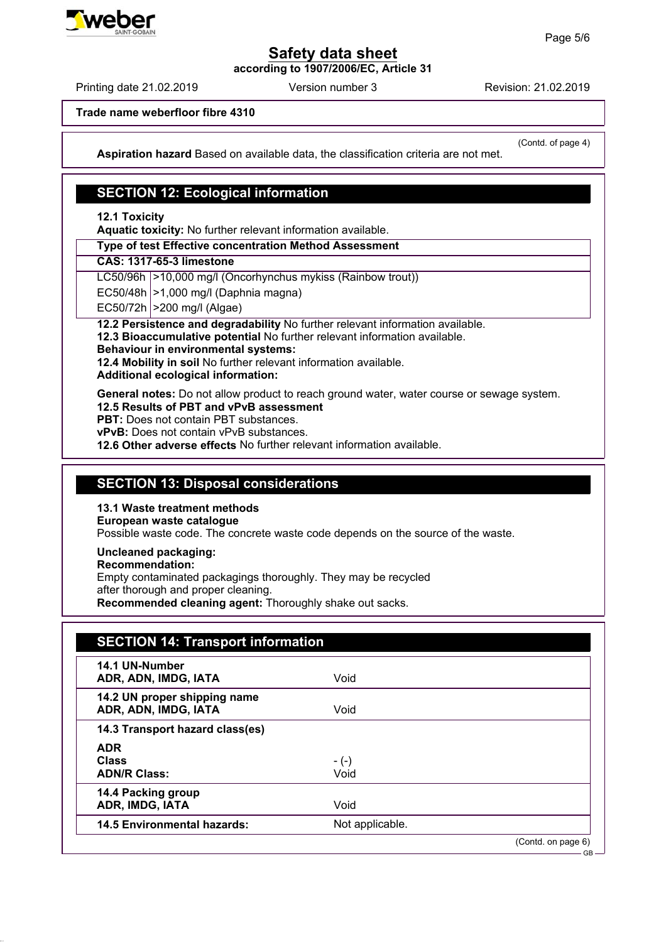**according to 1907/2006/EC, Article 31**

Printing date 21.02.2019 **Printing date 21.02.2019** Version number 3 Revision: 21.02.2019

**Trade name weberfloor fibre 4310**

(Contd. of page 4)

**Aspiration hazard** Based on available data, the classification criteria are not met.

## **SECTION 12: Ecological information**

**12.1 Toxicity**

**Aquatic toxicity:** No further relevant information available.

**Type of test Effective concentration Method Assessment**

**CAS: 1317-65-3 limestone**

LC50/96h | > 10,000 mg/l (Oncorhynchus mykiss (Rainbow trout))

 $EC50/48h \geq 1,000$  mg/l (Daphnia magna)

 $EC50/72h$   $>200$  mg/l (Algae)

**12.2 Persistence and degradability** No further relevant information available.

**12.3 Bioaccumulative potential** No further relevant information available.

### **Behaviour in environmental systems:**

**12.4 Mobility in soil** No further relevant information available.

**Additional ecological information:**

**General notes:** Do not allow product to reach ground water, water course or sewage system.

**12.5 Results of PBT and vPvB assessment**

**PBT:** Does not contain PBT substances.

**vPvB:** Does not contain vPvB substances.

**12.6 Other adverse effects** No further relevant information available.

## **SECTION 13: Disposal considerations**

## **13.1 Waste treatment methods**

**European waste catalogue**

Possible waste code. The concrete waste code depends on the source of the waste.

**Uncleaned packaging:**

### **Recommendation:**

Empty contaminated packagings thoroughly. They may be recycled

after thorough and proper cleaning.

**Recommended cleaning agent:** Thoroughly shake out sacks.

| 14.1 UN-Number<br>ADR, ADN, IMDG, IATA               | Void            |  |
|------------------------------------------------------|-----------------|--|
| 14.2 UN proper shipping name<br>ADR, ADN, IMDG, IATA | Void            |  |
| 14.3 Transport hazard class(es)                      |                 |  |
| <b>ADR</b>                                           |                 |  |
| <b>Class</b>                                         | $-(-)$          |  |
| <b>ADN/R Class:</b>                                  | Void            |  |
| 14.4 Packing group                                   |                 |  |
| ADR, IMDG, IATA                                      | Void            |  |
| <b>14.5 Environmental hazards:</b>                   | Not applicable. |  |